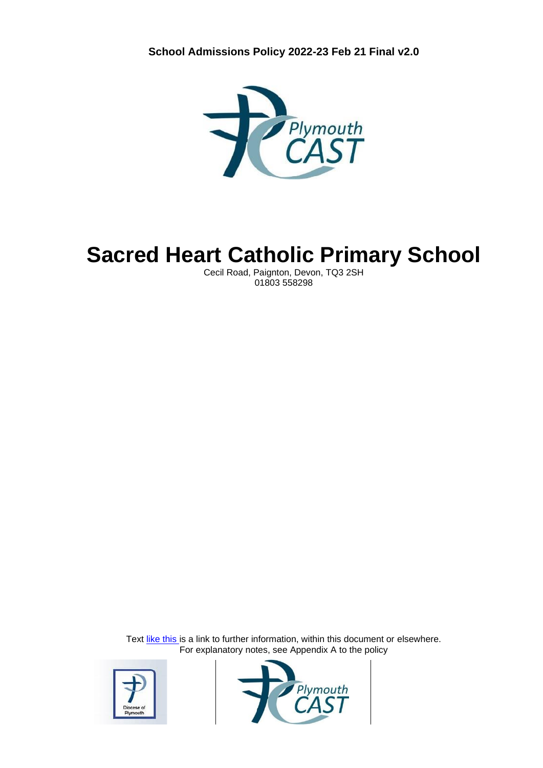

# **Sacred Heart Catholic Primary School**

Cecil Road, Paignton, Devon, TQ3 2SH 01803 558298

Text like this is a link to further information, within this document or elsewhere. For explanatory notes, see Appendix A to the policy



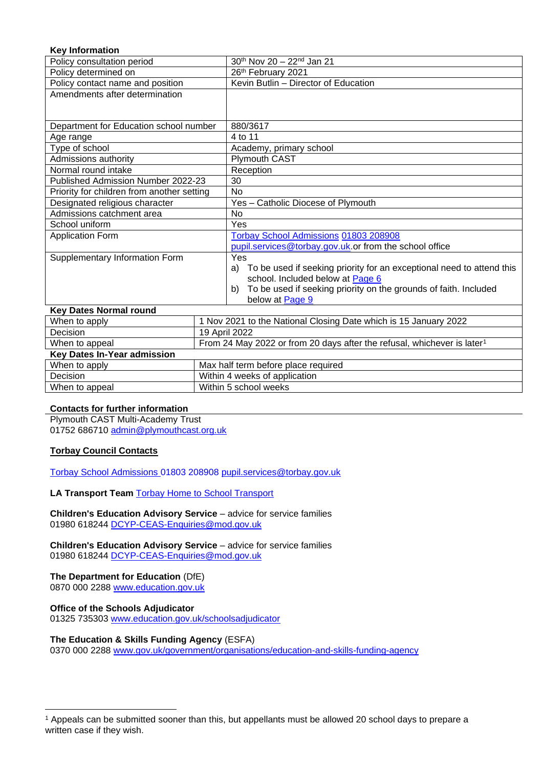#### **Key Information**

| Policy consultation period                 | $30th$ Nov 20 – 22 <sup>nd</sup> Jan 21                                     |
|--------------------------------------------|-----------------------------------------------------------------------------|
| Policy determined on                       | 26th February 2021                                                          |
| Policy contact name and position           | Kevin Butlin - Director of Education                                        |
| Amendments after determination             |                                                                             |
|                                            |                                                                             |
| Department for Education school number     | 880/3617                                                                    |
| Age range                                  | 4 to 11                                                                     |
| Type of school                             | Academy, primary school                                                     |
| Admissions authority                       | Plymouth CAST                                                               |
| Normal round intake                        | Reception                                                                   |
| Published Admission Number 2022-23         | 30                                                                          |
| Priority for children from another setting | <b>No</b>                                                                   |
| Designated religious character             | Yes - Catholic Diocese of Plymouth                                          |
| Admissions catchment area                  | No                                                                          |
| School uniform                             | Yes                                                                         |
| <b>Application Form</b>                    | Torbay School Admissions 01803 208908                                       |
|                                            | pupil.services@torbay.gov.uk.or from the school office                      |
| Supplementary Information Form             | Yes                                                                         |
|                                            | To be used if seeking priority for an exceptional need to attend this<br>a) |
|                                            | school. Included below at Page 6                                            |
|                                            | To be used if seeking priority on the grounds of faith. Included<br>b)      |
|                                            | below at Page 9                                                             |
| <b>Key Dates Normal round</b>              |                                                                             |

| 1107 Dalos Norman I bana                                                          |                                                                                     |  |
|-----------------------------------------------------------------------------------|-------------------------------------------------------------------------------------|--|
| 1 Nov 2021 to the National Closing Date which is 15 January 2022<br>When to apply |                                                                                     |  |
| Decision                                                                          | 19 April 2022                                                                       |  |
| When to appeal                                                                    | From 24 May 2022 or from 20 days after the refusal, whichever is later <sup>1</sup> |  |
| Key Dates In-Year admission                                                       |                                                                                     |  |
| When to apply                                                                     | Max half term before place required                                                 |  |
| Decision                                                                          | Within 4 weeks of application                                                       |  |
| When to appeal                                                                    | Within 5 school weeks                                                               |  |
|                                                                                   |                                                                                     |  |

#### **Contacts for further information**

Plymouth CAST Multi-Academy Trust 01752 686710 [admin@plymouthcast.org.uk](mailto:admin@plymouthcast.org.uk)

#### **Torbay Council Contacts**

[Torbay School Admissions](https://www.torbay.gov.uk/schools-and-learning/admissions/) [01803 208908](tel:01803208908) [pupil.services@torbay.gov.uk](mailto:pupil.services@torbay.gov.uk)

**LA Transport Team** [Torbay Home to School Transport](https://www.torbay.gov.uk/schools-and-learning/school-transport/)

**Children's Education Advisory Service** – advice for service families 01980 618244 [DCYP-CEAS-Enquiries@mod.gov.uk](mailto:DCYP-CEAS-Enquiries@mod.gov.uk)

**Children's Education Advisory Service** – advice for service families 01980 618244 DCYP-CEAS-Enquiries@mod.gov.uk

**The Department for Education** (DfE) 0870 000 2288 [www.education.gov.uk](http://www.education.gov.uk/)

**Office of the Schools Adjudicator**  01325 735303 [www.education.gov.uk/schoolsadjudicator](http://www.education.gov.uk/schoolsadjudicator)

#### **The Education & Skills Funding Agency** (ESFA)

0370 000 2288 [www.gov.uk/government/organisations/education-and-skills-funding-agency](http://www.gov.uk/government/organisations/education-and-skills-funding-agency)

<sup>1</sup> Appeals can be submitted sooner than this, but appellants must be allowed 20 school days to prepare a written case if they wish.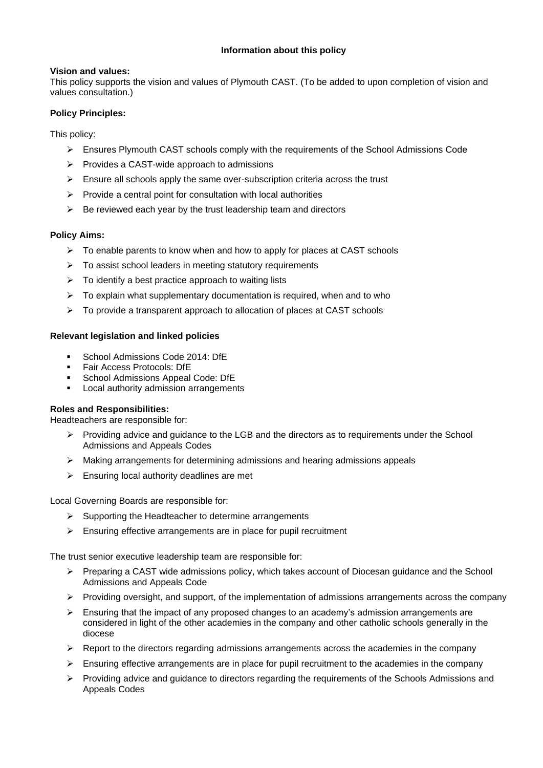#### **Vision and values:**

This policy supports the vision and values of Plymouth CAST. (To be added to upon completion of vision and values consultation.)

#### **Policy Principles:**

This policy:

- ➢ Ensures Plymouth CAST schools comply with the requirements of the School Admissions Code
- ➢ Provides a CAST-wide approach to admissions
- $\triangleright$  Ensure all schools apply the same over-subscription criteria across the trust
- $\triangleright$  Provide a central point for consultation with local authorities
- $\triangleright$  Be reviewed each year by the trust leadership team and directors

#### **Policy Aims:**

- $\triangleright$  To enable parents to know when and how to apply for places at CAST schools
- ➢ To assist school leaders in meeting statutory requirements
- ➢ To identify a best practice approach to waiting lists
- $\triangleright$  To explain what supplementary documentation is required, when and to who
- ➢ To provide a transparent approach to allocation of places at CAST schools

#### **Relevant legislation and linked policies**

- **School Admissions Code 2014: DfE**
- Fair Access Protocols: DfE
- **School Admissions Appeal Code: DfE**
- Local authority admission arrangements

#### **Roles and Responsibilities:**

Headteachers are responsible for:

- $\triangleright$  Providing advice and guidance to the LGB and the directors as to requirements under the School Admissions and Appeals Codes
- $\triangleright$  Making arrangements for determining admissions and hearing admissions appeals
- $\triangleright$  Ensuring local authority deadlines are met

Local Governing Boards are responsible for:

- ➢ Supporting the Headteacher to determine arrangements
- ➢ Ensuring effective arrangements are in place for pupil recruitment

The trust senior executive leadership team are responsible for:

- ➢ Preparing a CAST wide admissions policy, which takes account of Diocesan guidance and the School Admissions and Appeals Code
- $\triangleright$  Providing oversight, and support, of the implementation of admissions arrangements across the company
- $\triangleright$  Ensuring that the impact of any proposed changes to an academy's admission arrangements are considered in light of the other academies in the company and other catholic schools generally in the diocese
- $\triangleright$  Report to the directors regarding admissions arrangements across the academies in the company
- ➢ Ensuring effective arrangements are in place for pupil recruitment to the academies in the company
- ➢ Providing advice and guidance to directors regarding the requirements of the Schools Admissions and Appeals Codes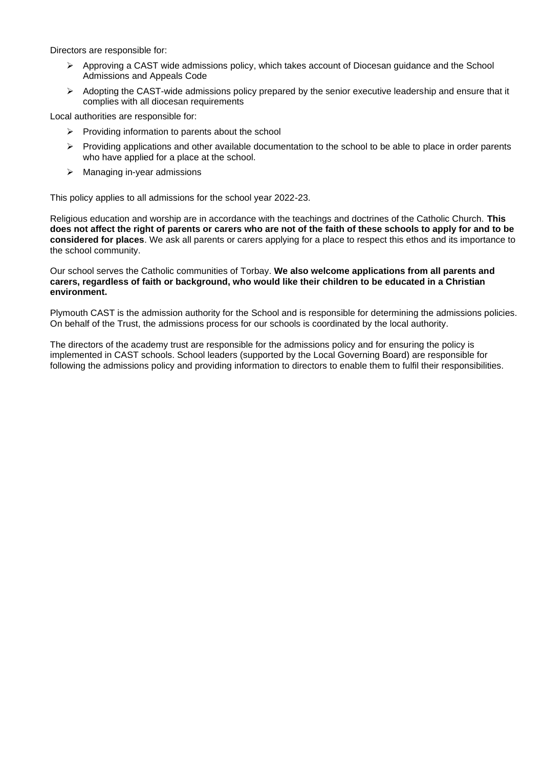Directors are responsible for:

- ➢ Approving a CAST wide admissions policy, which takes account of Diocesan guidance and the School Admissions and Appeals Code
- $\triangleright$  Adopting the CAST-wide admissions policy prepared by the senior executive leadership and ensure that it complies with all diocesan requirements

Local authorities are responsible for:

- $\triangleright$  Providing information to parents about the school
- ➢ Providing applications and other available documentation to the school to be able to place in order parents who have applied for a place at the school.
- ➢ Managing in-year admissions

This policy applies to all admissions for the school year 2022-23.

Religious education and worship are in accordance with the teachings and doctrines of the Catholic Church. **This does not affect the right of parents or carers who are not of the faith of these schools to apply for and to be considered for places**. We ask all parents or carers applying for a place to respect this ethos and its importance to the school community.

Our school serves the Catholic communities of Torbay. **We also welcome applications from all parents and carers, regardless of faith or background, who would like their children to be educated in a Christian environment.** 

Plymouth CAST is the admission authority for the School and is responsible for determining the admissions policies. On behalf of the Trust, the admissions process for our schools is coordinated by the local authority.

The directors of the academy trust are responsible for the admissions policy and for ensuring the policy is implemented in CAST schools. School leaders (supported by the Local Governing Board) are responsible for following the admissions policy and providing information to directors to enable them to fulfil their responsibilities.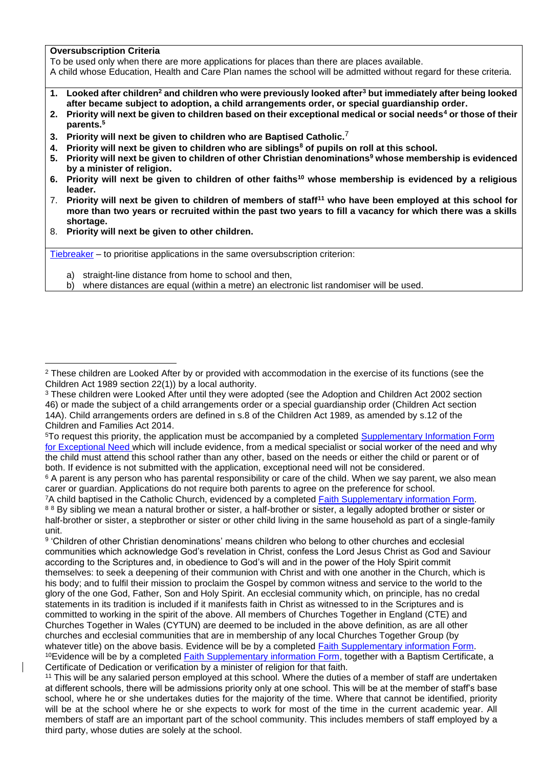#### **Oversubscription Criteria**

To be used only when there are more applications for places than there are places available.

A child whose Education, Health and Care Plan names the school will be admitted without regard for these criteria.

- **1. Looked after children<sup>2</sup> and children who were previously looked after<sup>3</sup> but immediately after being looked after became subject to adoption, a child arrangements order, or special guardianship order.**
- **2. Priority will next be given to children based on their exceptional medical or social needs<sup>4</sup> or those of their parents.<sup>5</sup>**
- **3. Priority will next be given to children who are Baptised Catholic.** 7
- **4. Priority will next be given to children who are siblings<sup>8</sup> of pupils on roll at this school.**
- **5. Priority will next be given to children of other Christian denominations<sup>9</sup> whose membership is evidenced by a minister of religion.**
- **6. Priority will next be given to children of other faiths<sup>10</sup> whose membership is evidenced by a religious leader.**
- 7. **Priority will next be given to children of members of staff<sup>11</sup> who have been employed at this school for more than two years or recruited within the past two years to fill a vacancy for which there was a skills shortage.**
- 8. **Priority will next be given to other children.**

[Tiebreaker](file://///Ds.devon.gov.uk/docs/Exeter,%20County%20Hall/EALData/Shared/Admissions%20files%20for%20website/2021%20files/2021%20Oreston%20admissions%20policy.docx%23tiebreaker) – to prioritise applications in the same oversubscription criterion:

- a) straight-line distance from home to school and then,
- b) where distances are equal (within a metre) an electronic list randomiser will be used.

 $6$  A parent is any person who has parental responsibility or care of the child. When we say parent, we also mean carer or guardian. Applications do not require both parents to agree on the preference for school.

<sup>7</sup>A child baptised in the Catholic Church, evidenced by a completed [Faith Supplementary information Form.](#page-8-0)

<sup>&</sup>lt;sup>2</sup> These children are Looked After by or provided with accommodation in the exercise of its functions (see the Children Act 1989 section 22(1)) by a local authority.

<sup>&</sup>lt;sup>3</sup> These children were Looked After until they were adopted (see the Adoption and Children Act 2002 section 46) or made the subject of a child arrangements order or a special guardianship order (Children Act section 14A). Child arrangements orders are defined in s.8 of the Children Act 1989, as amended by s.12 of the Children and Families Act 2014.

<sup>5</sup>To request this priority, the application must be accompanied by a completed [Supplementary Information Form](#page-5-0)  [for Exceptional Need](#page-5-0) which will include evidence, from a medical specialist or social worker of the need and why the child must attend this school rather than any other, based on the needs or either the child or parent or of both. If evidence is not submitted with the application, exceptional need will not be considered.

<sup>88</sup> By sibling we mean a natural brother or sister, a half-brother or sister, a legally adopted brother or sister or half-brother or sister, a stepbrother or sister or other child living in the same household as part of a single-family unit.

<sup>9</sup> 'Children of other Christian denominations' means children who belong to other churches and ecclesial communities which acknowledge God's revelation in Christ, confess the Lord Jesus Christ as God and Saviour according to the Scriptures and, in obedience to God's will and in the power of the Holy Spirit commit themselves: to seek a deepening of their communion with Christ and with one another in the Church, which is his body; and to fulfil their mission to proclaim the Gospel by common witness and service to the world to the glory of the one God, Father, Son and Holy Spirit. An ecclesial community which, on principle, has no credal statements in its tradition is included if it manifests faith in Christ as witnessed to in the Scriptures and is committed to working in the spirit of the above. All members of Churches Together in England (CTE) and Churches Together in Wales (CYTUN) are deemed to be included in the above definition, as are all other churches and ecclesial communities that are in membership of any local Churches Together Group (by whatever title) on the above basis. Evidence will be by a completed [Faith Supplementary information Form.](#page-8-0) <sup>10</sup>Evidence will be by a completed [Faith Supplementary information Form,](#page-8-0) together with a Baptism Certificate, a Certificate of Dedication or verification by a minister of religion for that faith.

<sup>&</sup>lt;sup>11</sup> This will be any salaried person employed at this school. Where the duties of a member of staff are undertaken at different schools, there will be admissions priority only at one school. This will be at the member of staff's base school, where he or she undertakes duties for the majority of the time. Where that cannot be identified, priority will be at the school where he or she expects to work for most of the time in the current academic year. All members of staff are an important part of the school community. This includes members of staff employed by a third party, whose duties are solely at the school.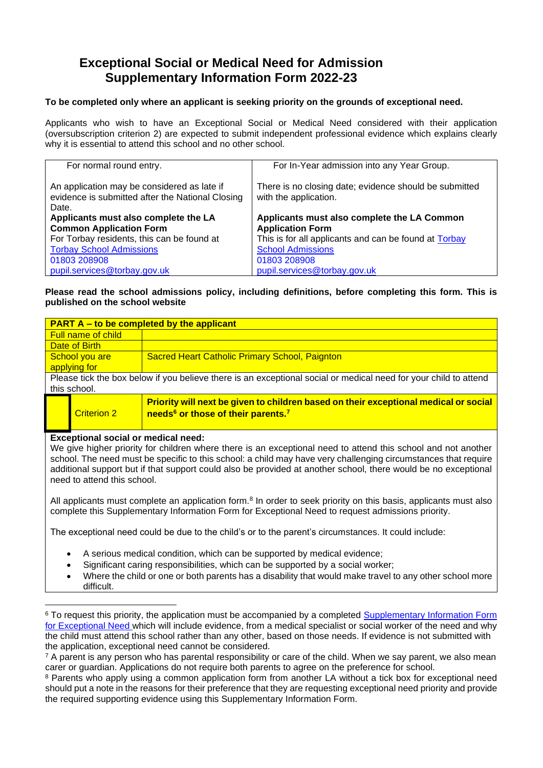### <span id="page-5-0"></span>**Exceptional Social or Medical Need for Admission Supplementary Information Form 2022-23**

#### **To be completed only where an applicant is seeking priority on the grounds of exceptional need.**

Applicants who wish to have an Exceptional Social or Medical Need considered with their application (oversubscription criterion 2) are expected to submit independent professional evidence which explains clearly why it is essential to attend this school and no other school.

| For normal round entry.                          | For In-Year admission into any Year Group.             |  |
|--------------------------------------------------|--------------------------------------------------------|--|
|                                                  |                                                        |  |
|                                                  |                                                        |  |
| An application may be considered as late if      | There is no closing date; evidence should be submitted |  |
| evidence is submitted after the National Closing | with the application.                                  |  |
|                                                  |                                                        |  |
| Date.                                            |                                                        |  |
| Applicants must also complete the LA             | Applicants must also complete the LA Common            |  |
| <b>Common Application Form</b>                   | <b>Application Form</b>                                |  |
| For Torbay residents, this can be found at       | This is for all applicants and can be found at Torbay  |  |
| <b>Torbay School Admissions</b>                  | <b>School Admissions</b>                               |  |
| 01803 208908                                     | 01803 208908                                           |  |
| pupil.services@torbay.gov.uk                     | pupil.services@torbay.gov.uk                           |  |

**Please read the school admissions policy, including definitions, before completing this form. This is published on the school website**

| <b>PART A – to be completed by the applicant</b>                                                                 |                           |                                                                                                                                                    |
|------------------------------------------------------------------------------------------------------------------|---------------------------|----------------------------------------------------------------------------------------------------------------------------------------------------|
|                                                                                                                  | <b>Full name of child</b> |                                                                                                                                                    |
| Date of Birth                                                                                                    |                           |                                                                                                                                                    |
| <b>Sacred Heart Catholic Primary School, Paignton</b><br>School you are                                          |                           |                                                                                                                                                    |
|                                                                                                                  | applying for              |                                                                                                                                                    |
| Please tick the box below if you believe there is an exceptional social or medical need for your child to attend |                           |                                                                                                                                                    |
|                                                                                                                  | this school.              |                                                                                                                                                    |
|                                                                                                                  | <b>Criterion 2</b>        | Priority will next be given to children based on their exceptional medical or social<br>needs <sup>6</sup> or those of their parents. <sup>7</sup> |

#### **Exceptional social or medical need:**

We give higher priority for children where there is an exceptional need to attend this school and not another school. The need must be specific to this school: a child may have very challenging circumstances that require additional support but if that support could also be provided at another school, there would be no exceptional need to attend this school.

All applicants must complete an application form.<sup>8</sup> In order to seek priority on this basis, applicants must also complete this Supplementary Information Form for Exceptional Need to request admissions priority.

The exceptional need could be due to the child's or to the parent's circumstances. It could include:

- A serious medical condition, which can be supported by medical evidence;
- Significant caring responsibilities, which can be supported by a social worker;
- Where the child or one or both parents has a disability that would make travel to any other school more difficult.

<sup>8</sup> Parents who apply using a common application form from another LA without a tick box for exceptional need should put a note in the reasons for their preference that they are requesting exceptional need priority and provide the required supporting evidence using this Supplementary Information Form.

<sup>&</sup>lt;sup>6</sup> To request this priority, the application must be accompanied by a completed Supplementary Information Form [for Exceptional Need](#page-5-0) which will include evidence, from a medical specialist or social worker of the need and why the child must attend this school rather than any other, based on those needs. If evidence is not submitted with the application, exceptional need cannot be considered.

 $7$  A parent is any person who has parental responsibility or care of the child. When we say parent, we also mean carer or guardian. Applications do not require both parents to agree on the preference for school.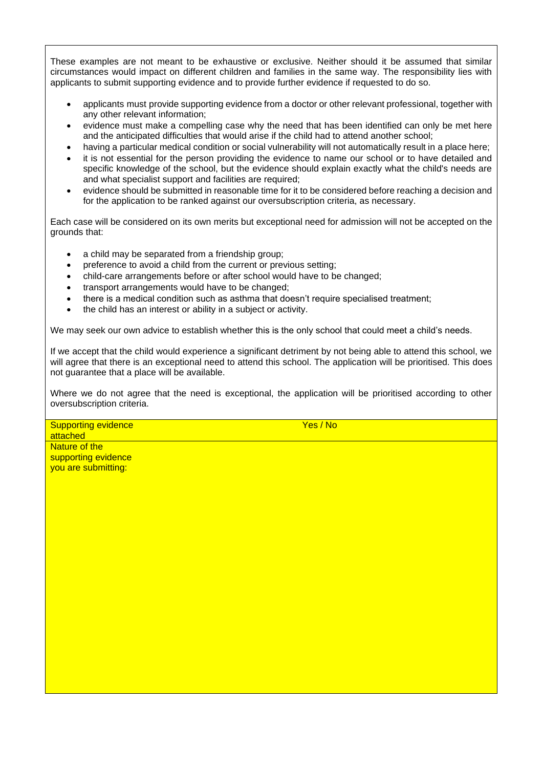These examples are not meant to be exhaustive or exclusive. Neither should it be assumed that similar circumstances would impact on different children and families in the same way. The responsibility lies with applicants to submit supporting evidence and to provide further evidence if requested to do so.

- applicants must provide supporting evidence from a doctor or other relevant professional, together with any other relevant information;
- evidence must make a compelling case why the need that has been identified can only be met here and the anticipated difficulties that would arise if the child had to attend another school;
- having a particular medical condition or social vulnerability will not automatically result in a place here;
- it is not essential for the person providing the evidence to name our school or to have detailed and specific knowledge of the school, but the evidence should explain exactly what the child's needs are and what specialist support and facilities are required;
- evidence should be submitted in reasonable time for it to be considered before reaching a decision and for the application to be ranked against our oversubscription criteria, as necessary.

Each case will be considered on its own merits but exceptional need for admission will not be accepted on the grounds that:

- a child may be separated from a friendship group;
- preference to avoid a child from the current or previous setting;
- child-care arrangements before or after school would have to be changed;
- transport arrangements would have to be changed;
- there is a medical condition such as asthma that doesn't require specialised treatment;
- the child has an interest or ability in a subject or activity.

We may seek our own advice to establish whether this is the only school that could meet a child's needs.

If we accept that the child would experience a significant detriment by not being able to attend this school, we will agree that there is an exceptional need to attend this school. The application will be prioritised. This does not guarantee that a place will be available.

Where we do not agree that the need is exceptional, the application will be prioritised according to other oversubscription criteria.

Supporting evidence attached Nature of the supporting evidence

Yes / No

you are submitting: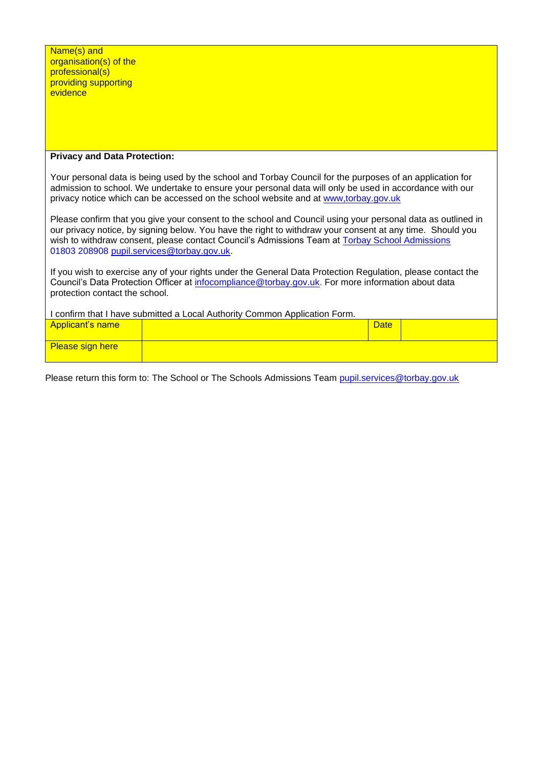| Name(s) and            |
|------------------------|
| organisation(s) of the |
| professional(s)        |
| providing supporting   |
| evidence               |

#### **Privacy and Data Protection:**

Your personal data is being used by the school and Torbay Council for the purposes of an application for admission to school. We undertake to ensure your personal data will only be used in accordance with our privacy notice which can be accessed on the school website and at www,torbay.gov.uk

Please confirm that you give your consent to the school and Council using your personal data as outlined in our privacy notice, by signing below. You have the right to withdraw your consent at any time. Should you wish to withdraw consent, please contact Council's Admissions Team at [Torbay School Admissions](https://www.torbay.gov.uk/schools-and-learning/admissions/) [01803 208908](tel:01803208908) [pupil.services@torbay.gov.uk.](mailto:pupil.services@torbay.gov.uk)

If you wish to exercise any of your rights under the General Data Protection Regulation, please contact the Council's Data Protection Officer at [infocompliance@torbay.gov.uk.](mailto:infocompliance@torbay.gov.uk) For more information about data protection contact the school.

| I confirm that I have submitted a Local Authority Common Application Form. |             |  |
|----------------------------------------------------------------------------|-------------|--|
| <b>Applicant's name</b>                                                    | <b>Date</b> |  |
|                                                                            |             |  |
| <b>Please sign here</b>                                                    |             |  |
|                                                                            |             |  |

Please return this form to: The School or The Schools Admissions Team [pupil.services@torbay.gov.uk](mailto:pupil.services@torbay.gov.uk)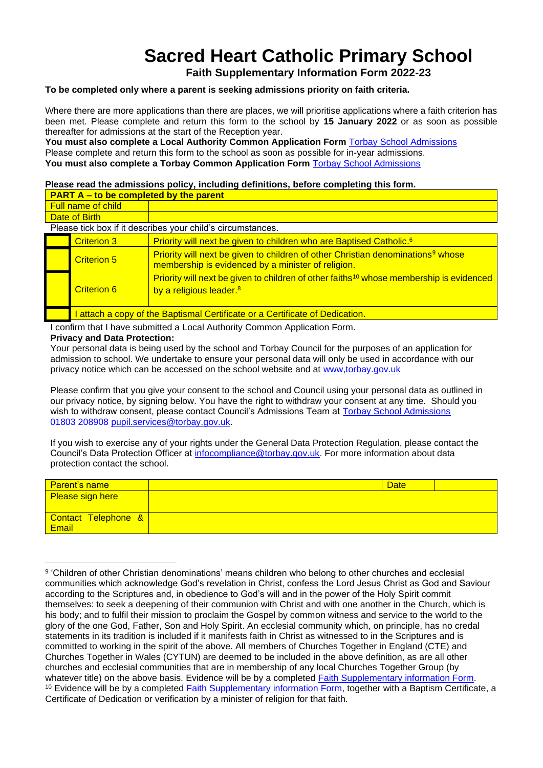## <span id="page-8-0"></span>**Sacred Heart Catholic Primary School**

**Faith Supplementary Information Form 2022-23**

#### **To be completed only where a parent is seeking admissions priority on faith criteria.**

Where there are more applications than there are places, we will prioritise applications where a faith criterion has been met. Please complete and return this form to the school by **15 January 2022** or as soon as possible thereafter for admissions at the start of the Reception year.

**You must also complete a Local Authority Common Application Form** [Torbay School Admissions](https://www.torbay.gov.uk/schools-and-learning/admissions/) Please complete and return this form to the school as soon as possible for in-year admissions. **You must also complete a Torbay Common Application Form** [Torbay School Admissions](https://www.torbay.gov.uk/schools-and-learning/admissions/)

#### **Please read the admissions policy, including definitions, before completing this form.**

| <b>PART A – to be completed by the parent</b>               |                                                                            |                                                                                                                                                   |
|-------------------------------------------------------------|----------------------------------------------------------------------------|---------------------------------------------------------------------------------------------------------------------------------------------------|
| Full name of child                                          |                                                                            |                                                                                                                                                   |
| Date of Birth                                               |                                                                            |                                                                                                                                                   |
| Please tick box if it describes your child's circumstances. |                                                                            |                                                                                                                                                   |
|                                                             | <b>Criterion 3</b>                                                         | Priority will next be given to children who are Baptised Catholic. <sup>6</sup>                                                                   |
|                                                             | <b>Criterion 5</b>                                                         | Priority will next be given to children of other Christian denominations <sup>9</sup> whose<br>membership is evidenced by a minister of religion. |
|                                                             | <b>Criterion 6</b>                                                         | Priority will next be given to children of other faiths <sup>10</sup> whose membership is evidenced<br>by a religious leader. <sup>8</sup>        |
|                                                             | attach a copy of the Baptismal Certificate or a Certificate of Dedication. |                                                                                                                                                   |

I confirm that I have submitted a Local Authority Common Application Form.

#### **Privacy and Data Protection:**

Your personal data is being used by the school and Torbay Council for the purposes of an application for admission to school. We undertake to ensure your personal data will only be used in accordance with our privacy notice which can be accessed on the school website and at [www,torbay.gov.uk](https://new.devon.gov.uk/privacy/privacy-notices/) 

Please confirm that you give your consent to the school and Council using your personal data as outlined in our privacy notice, by signing below. You have the right to withdraw your consent at any time. Should you wish to withdraw consent, please contact Council's Admissions Team at [Torbay School Admissions](https://www.torbay.gov.uk/schools-and-learning/admissions/) [01803 208908](tel:01803208908) [pupil.services@torbay.gov.uk.](mailto:pupil.services@torbay.gov.uk)

If you wish to exercise any of your rights under the General Data Protection Regulation, please contact the Council's Data Protection Officer at [infocompliance@torbay.gov.uk.](mailto:infocompliance@torbay.gov.uk) For more information about data protection contact the school.

| <b>Parent's name</b>         | <b>Date</b> |  |
|------------------------------|-------------|--|
| <b>Please sign here</b>      |             |  |
| Contact Telephone &<br>Email |             |  |

<sup>9</sup> 'Children of other Christian denominations' means children who belong to other churches and ecclesial communities which acknowledge God's revelation in Christ, confess the Lord Jesus Christ as God and Saviour according to the Scriptures and, in obedience to God's will and in the power of the Holy Spirit commit themselves: to seek a deepening of their communion with Christ and with one another in the Church, which is his body; and to fulfil their mission to proclaim the Gospel by common witness and service to the world to the glory of the one God, Father, Son and Holy Spirit. An ecclesial community which, on principle, has no credal statements in its tradition is included if it manifests faith in Christ as witnessed to in the Scriptures and is committed to working in the spirit of the above. All members of Churches Together in England (CTE) and Churches Together in Wales (CYTUN) are deemed to be included in the above definition, as are all other churches and ecclesial communities that are in membership of any local Churches Together Group (by whatever title) on the above basis. Evidence will be by a completed [Faith Supplementary information Form.](#page-8-0) <sup>10</sup> Evidence will be by a completed [Faith Supplementary information Form,](#page-8-0) together with a Baptism Certificate, a Certificate of Dedication or verification by a minister of religion for that faith.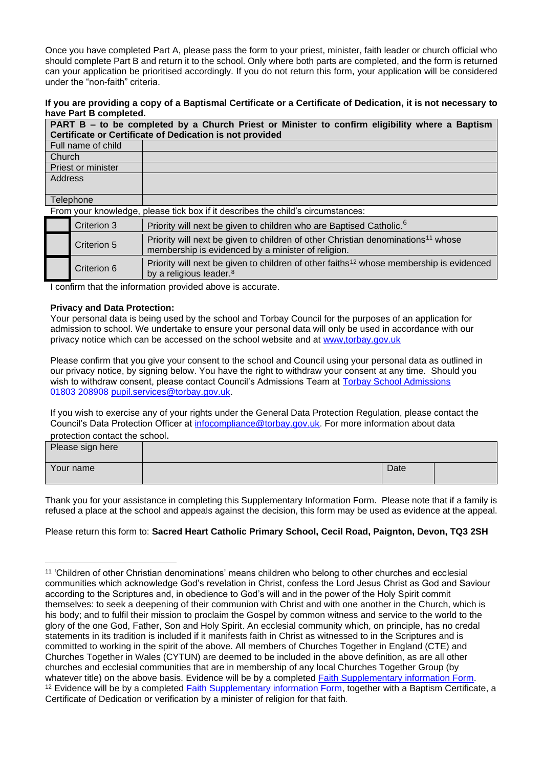Once you have completed Part A, please pass the form to your priest, minister, faith leader or church official who should complete Part B and return it to the school. Only where both parts are completed, and the form is returned can your application be prioritised accordingly. If you do not return this form, your application will be considered under the "non-faith" criteria.

**If you are providing a copy of a Baptismal Certificate or a Certificate of Dedication, it is not necessary to have Part B completed.**

| PART B – to be completed by a Church Priest or Minister to confirm eligibility where a Baptism<br>Certificate or Certificate of Dedication is not provided |                    |                                                                                                                                                    |  |
|------------------------------------------------------------------------------------------------------------------------------------------------------------|--------------------|----------------------------------------------------------------------------------------------------------------------------------------------------|--|
|                                                                                                                                                            | Full name of child |                                                                                                                                                    |  |
| Church                                                                                                                                                     |                    |                                                                                                                                                    |  |
|                                                                                                                                                            | Priest or minister |                                                                                                                                                    |  |
| Address                                                                                                                                                    |                    |                                                                                                                                                    |  |
|                                                                                                                                                            |                    |                                                                                                                                                    |  |
|                                                                                                                                                            | Telephone          |                                                                                                                                                    |  |
| From your knowledge, please tick box if it describes the child's circumstances:                                                                            |                    |                                                                                                                                                    |  |
|                                                                                                                                                            | Criterion 3        | Priority will next be given to children who are Baptised Catholic. <sup>6</sup>                                                                    |  |
|                                                                                                                                                            | Criterion 5        | Priority will next be given to children of other Christian denominations <sup>11</sup> whose<br>membership is evidenced by a minister of religion. |  |

Criterion 6 Priority will next be given to children of other faiths<sup>12</sup> whose membership is evidenced

I confirm that the information provided above is accurate.

by a religious leader.<sup>8</sup>

#### **Privacy and Data Protection:**

Your personal data is being used by the school and Torbay Council for the purposes of an application for admission to school. We undertake to ensure your personal data will only be used in accordance with our privacy notice which can be accessed on the school website and at [www,torbay.gov.uk](https://new.devon.gov.uk/privacy/privacy-notices/) 

Please confirm that you give your consent to the school and Council using your personal data as outlined in our privacy notice, by signing below. You have the right to withdraw your consent at any time. Should you wish to withdraw consent, please contact Council's Admissions Team at [Torbay School Admissions](https://www.torbay.gov.uk/schools-and-learning/admissions/) [01803 208908](tel:01803208908) [pupil.services@torbay.gov.uk.](mailto:pupil.services@torbay.gov.uk)

If you wish to exercise any of your rights under the General Data Protection Regulation, please contact the Council's Data Protection Officer at [infocompliance@torbay.gov.uk.](mailto:infocompliance@torbay.gov.uk) For more information about data protection contact the school.

| Please sign here |      |  |
|------------------|------|--|
| Your name        | Date |  |

Thank you for your assistance in completing this Supplementary Information Form. Please note that if a family is refused a place at the school and appeals against the decision, this form may be used as evidence at the appeal.

#### Please return this form to: **Sacred Heart Catholic Primary School, Cecil Road, Paignton, Devon, TQ3 2SH**

<sup>11</sup> 'Children of other Christian denominations' means children who belong to other churches and ecclesial communities which acknowledge God's revelation in Christ, confess the Lord Jesus Christ as God and Saviour according to the Scriptures and, in obedience to God's will and in the power of the Holy Spirit commit themselves: to seek a deepening of their communion with Christ and with one another in the Church, which is his body; and to fulfil their mission to proclaim the Gospel by common witness and service to the world to the glory of the one God, Father, Son and Holy Spirit. An ecclesial community which, on principle, has no credal statements in its tradition is included if it manifests faith in Christ as witnessed to in the Scriptures and is committed to working in the spirit of the above. All members of Churches Together in England (CTE) and Churches Together in Wales (CYTUN) are deemed to be included in the above definition, as are all other churches and ecclesial communities that are in membership of any local Churches Together Group (by whatever title) on the above basis. Evidence will be by a completed [Faith Supplementary information Form.](#page-8-0) <sup>12</sup> Evidence will be by a completed [Faith Supplementary information Form,](#page-8-0) together with a Baptism Certificate, a Certificate of Dedication or verification by a minister of religion for that faith.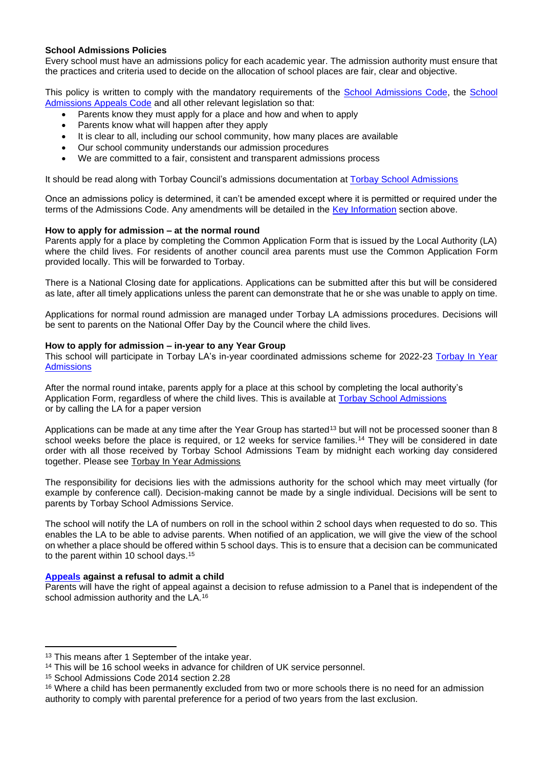#### **School Admissions Policies**

Every school must have an admissions policy for each academic year. The admission authority must ensure that the practices and criteria used to decide on the allocation of school places are fair, clear and objective.

This policy is written to comply with the mandatory requirements of the [School Admissions Code,](https://www.gov.uk/government/publications/school-admissions-code--2) the [School](https://www.gov.uk/government/publications/school-admissions-appeals-code)  [Admissions Appeals Code](https://www.gov.uk/government/publications/school-admissions-appeals-code) and all other relevant legislation so that:

- Parents know they must apply for a place and how and when to apply
- Parents know what will happen after they apply
- It is clear to all, including our school community, how many places are available
- Our school community understands our admission procedures
- We are committed to a fair, consistent and transparent admissions process

It should be read along with Torbay Council's admissions documentation at [Torbay School Admissions](https://www.torbay.gov.uk/schools-and-learning/admissions/)

Once an admissions policy is determined, it can't be amended except where it is permitted or required under the terms of the Admissions Code. Any amendments will be detailed in the Key Information section above.

#### **How to apply for admission – at the normal round**

Parents apply for a place by completing the Common Application Form that is issued by the Local Authority (LA) where the child lives. For residents of another council area parents must use the Common Application Form provided locally. This will be forwarded to Torbay.

There is a National Closing date for applications. Applications can be submitted after this but will be considered as late, after all timely applications unless the parent can demonstrate that he or she was unable to apply on time.

Applications for normal round admission are managed under Torbay LA admissions procedures. Decisions will be sent to parents on the National Offer Day by the Council where the child lives.

#### **How to apply for admission – in-year to any Year Group**

This school will participate in Torbay LA's in-year coordinated admissions scheme for 2022-23 [Torbay In Year](https://www.torbay.gov.uk/schools-and-learning/admissions/in-year/)  **[Admissions](https://www.torbay.gov.uk/schools-and-learning/admissions/in-year/)** 

After the normal round intake, parents apply for a place at this school by completing the local authority's Application Form, regardless of where the child lives. This is available at [Torbay School Admissions](https://www.torbay.gov.uk/schools-and-learning/admissions/) or by calling the LA for a paper version

Applications can be made at any time after the Year Group has started<sup>13</sup> but will not be processed sooner than 8 school weeks before the place is required, or 12 weeks for service families.<sup>14</sup> They will be considered in date order with all those received by Torbay School Admissions Team by midnight each working day considered together. Please see [Torbay In Year Admissions](https://www.torbay.gov.uk/schools-and-learning/admissions/in-year/)

The responsibility for decisions lies with the admissions authority for the school which may meet virtually (for example by conference call). Decision-making cannot be made by a single individual. Decisions will be sent to parents by Torbay School Admissions Service.

The school will notify the LA of numbers on roll in the school within 2 school days when requested to do so. This enables the LA to be able to advise parents. When notified of an application, we will give the view of the school on whether a place should be offered within 5 school days. This is to ensure that a decision can be communicated to the parent within 10 school days.<sup>15</sup>

#### **Appeals against a refusal to admit a child**

Parents will have the right of appeal against a decision to refuse admission to a Panel that is independent of the school admission authority and the LA.<sup>16</sup>

<sup>&</sup>lt;sup>13</sup> This means after 1 September of the intake year.

<sup>14</sup> This will be 16 school weeks in advance for children of UK service personnel.

<sup>15</sup> School Admissions Code 2014 section 2.28

<sup>&</sup>lt;sup>16</sup> Where a child has been permanently excluded from two or more schools there is no need for an admission authority to comply with parental preference for a period of two years from the last exclusion.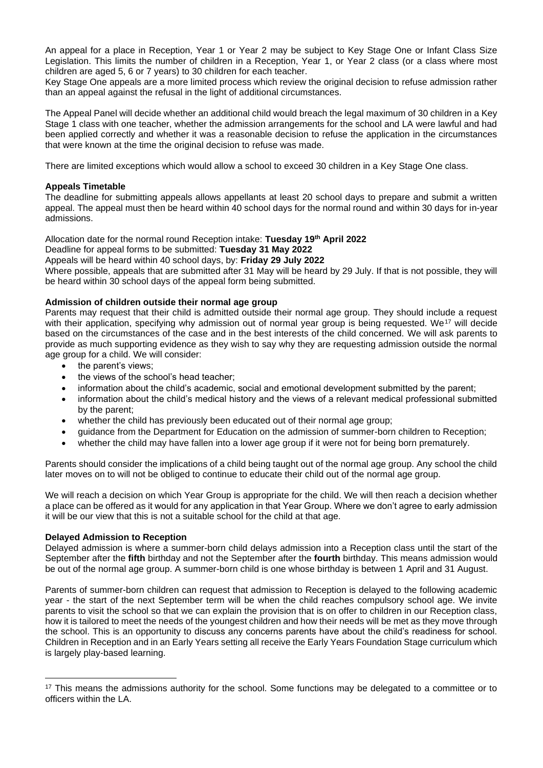An appeal for a place in Reception, Year 1 or Year 2 may be subject to Key Stage One or Infant Class Size Legislation. This limits the number of children in a Reception, Year 1, or Year 2 class (or a class where most children are aged 5, 6 or 7 years) to 30 children for each teacher.

Key Stage One appeals are a more limited process which review the original decision to refuse admission rather than an appeal against the refusal in the light of additional circumstances.

The Appeal Panel will decide whether an additional child would breach the legal maximum of 30 children in a Key Stage 1 class with one teacher, whether the admission arrangements for the school and LA were lawful and had been applied correctly and whether it was a reasonable decision to refuse the application in the circumstances that were known at the time the original decision to refuse was made.

There are limited exceptions which would allow a school to exceed 30 children in a Key Stage One class.

#### **Appeals Timetable**

The deadline for submitting appeals allows appellants at least 20 school days to prepare and submit a written appeal. The appeal must then be heard within 40 school days for the normal round and within 30 days for in-year admissions.

#### Allocation date for the normal round Reception intake: **Tuesday 19th April 2022**

Deadline for appeal forms to be submitted: **Tuesday 31 May 2022**

Appeals will be heard within 40 school days, by: **Friday 29 July 2022**

Where possible, appeals that are submitted after 31 May will be heard by 29 July. If that is not possible, they will be heard within 30 school days of the appeal form being submitted.

#### **Admission of children outside their normal age group**

Parents may request that their child is admitted outside their normal age group. They should include a request with their application, specifying why admission out of normal year group is being requested. We<sup>17</sup> will decide based on the circumstances of the case and in the best interests of the child concerned. We will ask parents to provide as much supporting evidence as they wish to say why they are requesting admission outside the normal age group for a child. We will consider:

- the parent's views:
- the views of the school's head teacher;
- information about the child's academic, social and emotional development submitted by the parent;
- information about the child's medical history and the views of a relevant medical professional submitted by the parent;
- whether the child has previously been educated out of their normal age group;
- guidance from the Department for Education on the admission of summer-born children to Reception;
- whether the child may have fallen into a lower age group if it were not for being born prematurely.

Parents should consider the implications of a child being taught out of the normal age group. Any school the child later moves on to will not be obliged to continue to educate their child out of the normal age group.

We will reach a decision on which Year Group is appropriate for the child. We will then reach a decision whether a place can be offered as it would for any application in that Year Group. Where we don't agree to early admission it will be our view that this is not a suitable school for the child at that age.

#### **Delayed Admission to Reception**

Delayed admission is where a summer-born child delays admission into a Reception class until the start of the September after the **fifth** birthday and not the September after the **fourth** birthday. This means admission would be out of the normal age group. A summer-born child is one whose birthday is between 1 April and 31 August.

Parents of summer-born children can request that admission to Reception is delayed to the following academic year - the start of the next September term will be when the child reaches compulsory school age. We invite parents to visit the school so that we can explain the provision that is on offer to children in our Reception class, how it is tailored to meet the needs of the youngest children and how their needs will be met as they move through the school. This is an opportunity to discuss any concerns parents have about the child's readiness for school. Children in Reception and in an Early Years setting all receive the Early Years Foundation Stage curriculum which is largely play-based learning.

<sup>&</sup>lt;sup>17</sup> This means the admissions authority for the school. Some functions may be delegated to a committee or to officers within the LA.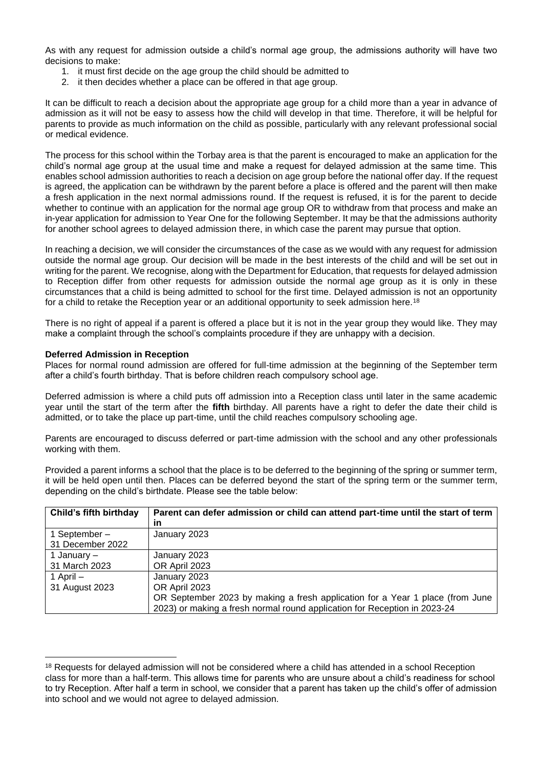As with any request for admission outside a child's normal age group, the admissions authority will have two decisions to make:

- 1. it must first decide on the age group the child should be admitted to
- 2. it then decides whether a place can be offered in that age group.

It can be difficult to reach a decision about the appropriate age group for a child more than a year in advance of admission as it will not be easy to assess how the child will develop in that time. Therefore, it will be helpful for parents to provide as much information on the child as possible, particularly with any relevant professional social or medical evidence.

The process for this school within the Torbay area is that the parent is encouraged to make an application for the child's normal age group at the usual time and make a request for delayed admission at the same time. This enables school admission authorities to reach a decision on age group before the national offer day. If the request is agreed, the application can be withdrawn by the parent before a place is offered and the parent will then make a fresh application in the next normal admissions round. If the request is refused, it is for the parent to decide whether to continue with an application for the normal age group OR to withdraw from that process and make an in-year application for admission to Year One for the following September. It may be that the admissions authority for another school agrees to delayed admission there, in which case the parent may pursue that option.

In reaching a decision, we will consider the circumstances of the case as we would with any request for admission outside the normal age group. Our decision will be made in the best interests of the child and will be set out in writing for the parent. We recognise, along with the Department for Education, that requests for delayed admission to Reception differ from other requests for admission outside the normal age group as it is only in these circumstances that a child is being admitted to school for the first time. Delayed admission is not an opportunity for a child to retake the Reception year or an additional opportunity to seek admission here.<sup>18</sup>

There is no right of appeal if a parent is offered a place but it is not in the year group they would like. They may make a complaint through the school's complaints procedure if they are unhappy with a decision.

#### **Deferred Admission in Reception**

Places for normal round admission are offered for full-time admission at the beginning of the September term after a child's fourth birthday. That is before children reach compulsory school age.

Deferred admission is where a child puts off admission into a Reception class until later in the same academic year until the start of the term after the **fifth** birthday. All parents have a right to defer the date their child is admitted, or to take the place up part-time, until the child reaches compulsory schooling age.

Parents are encouraged to discuss deferred or part-time admission with the school and any other professionals working with them.

Provided a parent informs a school that the place is to be deferred to the beginning of the spring or summer term, it will be held open until then. Places can be deferred beyond the start of the spring term or the summer term, depending on the child's birthdate. Please see the table below:

| Child's fifth birthday | Parent can defer admission or child can attend part-time until the start of term |  |
|------------------------|----------------------------------------------------------------------------------|--|
|                        | in                                                                               |  |
| 1 September –          | January 2023                                                                     |  |
| 31 December 2022       |                                                                                  |  |
| 1 January –            | January 2023                                                                     |  |
| 31 March 2023          | OR April 2023                                                                    |  |
| 1 April -              | January 2023                                                                     |  |
| 31 August 2023         | OR April 2023                                                                    |  |
|                        | OR September 2023 by making a fresh application for a Year 1 place (from June    |  |
|                        | 2023) or making a fresh normal round application for Reception in 2023-24        |  |

<sup>&</sup>lt;sup>18</sup> Requests for delayed admission will not be considered where a child has attended in a school Reception class for more than a half-term. This allows time for parents who are unsure about a child's readiness for school to try Reception. After half a term in school, we consider that a parent has taken up the child's offer of admission into school and we would not agree to delayed admission.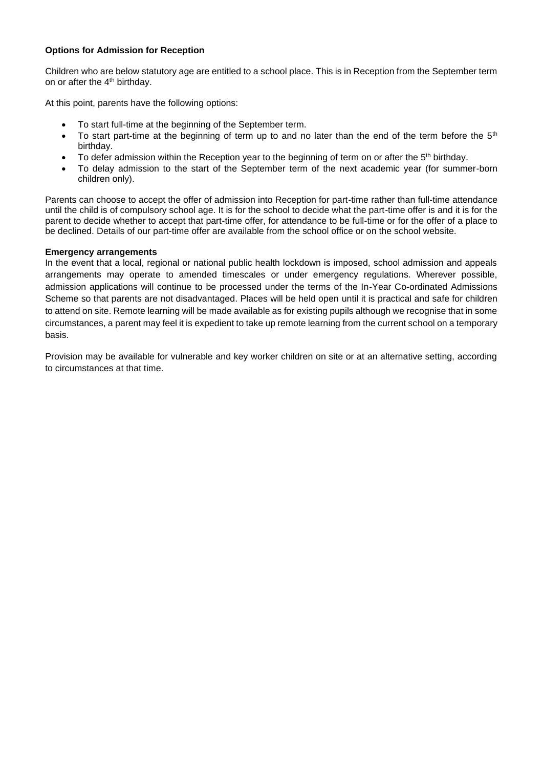#### **Options for Admission for Reception**

Children who are below statutory age are entitled to a school place. This is in Reception from the September term on or after the 4th birthday.

At this point, parents have the following options:

- To start full-time at the beginning of the September term.
- To start part-time at the beginning of term up to and no later than the end of the term before the  $5<sup>th</sup>$ birthday.
- To defer admission within the Reception year to the beginning of term on or after the 5<sup>th</sup> birthday.
- To delay admission to the start of the September term of the next academic year (for summer-born children only).

Parents can choose to accept the offer of admission into Reception for part-time rather than full-time attendance until the child is of compulsory school age. It is for the school to decide what the part-time offer is and it is for the parent to decide whether to accept that part-time offer, for attendance to be full-time or for the offer of a place to be declined. Details of our part-time offer are available from the school office or on the school website.

#### **Emergency arrangements**

In the event that a local, regional or national public health lockdown is imposed, school admission and appeals arrangements may operate to amended timescales or under emergency regulations. Wherever possible, admission applications will continue to be processed under the terms of the In-Year Co-ordinated Admissions Scheme so that parents are not disadvantaged. Places will be held open until it is practical and safe for children to attend on site. Remote learning will be made available as for existing pupils although we recognise that in some circumstances, a parent may feel it is expedient to take up remote learning from the current school on a temporary basis.

Provision may be available for vulnerable and key worker children on site or at an alternative setting, according to circumstances at that time.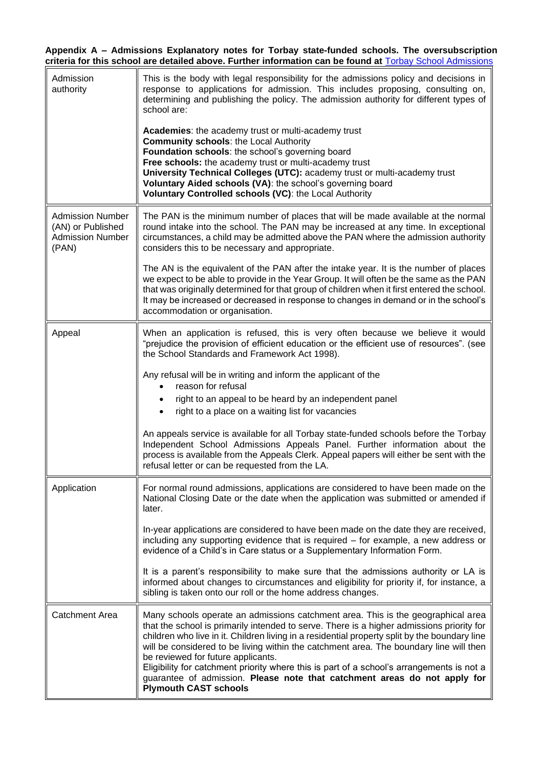**Appendix A – Admissions Explanatory notes for Torbay state-funded schools. The oversubscription criteria for this school are detailed above. Further information can be found at** [Torbay School Admissions](https://www.torbay.gov.uk/schools-and-learning/admissions/)

| Admission<br>authority                                                           | This is the body with legal responsibility for the admissions policy and decisions in<br>response to applications for admission. This includes proposing, consulting on,<br>determining and publishing the policy. The admission authority for different types of<br>school are:                                                                                                                                                                                                                                                                                                                                         |  |
|----------------------------------------------------------------------------------|--------------------------------------------------------------------------------------------------------------------------------------------------------------------------------------------------------------------------------------------------------------------------------------------------------------------------------------------------------------------------------------------------------------------------------------------------------------------------------------------------------------------------------------------------------------------------------------------------------------------------|--|
|                                                                                  | Academies: the academy trust or multi-academy trust<br><b>Community schools: the Local Authority</b><br>Foundation schools: the school's governing board<br>Free schools: the academy trust or multi-academy trust<br>University Technical Colleges (UTC): academy trust or multi-academy trust<br>Voluntary Aided schools (VA): the school's governing board<br>Voluntary Controlled schools (VC): the Local Authority                                                                                                                                                                                                  |  |
| <b>Admission Number</b><br>(AN) or Published<br><b>Admission Number</b><br>(PAN) | The PAN is the minimum number of places that will be made available at the normal<br>round intake into the school. The PAN may be increased at any time. In exceptional<br>circumstances, a child may be admitted above the PAN where the admission authority<br>considers this to be necessary and appropriate.                                                                                                                                                                                                                                                                                                         |  |
|                                                                                  | The AN is the equivalent of the PAN after the intake year. It is the number of places<br>we expect to be able to provide in the Year Group. It will often be the same as the PAN<br>that was originally determined for that group of children when it first entered the school.<br>It may be increased or decreased in response to changes in demand or in the school's<br>accommodation or organisation.                                                                                                                                                                                                                |  |
| Appeal                                                                           | When an application is refused, this is very often because we believe it would<br>"prejudice the provision of efficient education or the efficient use of resources". (see<br>the School Standards and Framework Act 1998).                                                                                                                                                                                                                                                                                                                                                                                              |  |
|                                                                                  | Any refusal will be in writing and inform the applicant of the<br>reason for refusal                                                                                                                                                                                                                                                                                                                                                                                                                                                                                                                                     |  |
|                                                                                  | right to an appeal to be heard by an independent panel<br>$\bullet$<br>right to a place on a waiting list for vacancies                                                                                                                                                                                                                                                                                                                                                                                                                                                                                                  |  |
|                                                                                  | An appeals service is available for all Torbay state-funded schools before the Torbay<br>Independent School Admissions Appeals Panel. Further information about the<br>process is available from the Appeals Clerk. Appeal papers will either be sent with the<br>refusal letter or can be requested from the LA.                                                                                                                                                                                                                                                                                                        |  |
| Application                                                                      | For normal round admissions, applications are considered to have been made on the<br>National Closing Date or the date when the application was submitted or amended if<br>later.                                                                                                                                                                                                                                                                                                                                                                                                                                        |  |
|                                                                                  | In-year applications are considered to have been made on the date they are received,<br>including any supporting evidence that is required – for example, a new address or<br>evidence of a Child's in Care status or a Supplementary Information Form.                                                                                                                                                                                                                                                                                                                                                                  |  |
|                                                                                  | It is a parent's responsibility to make sure that the admissions authority or LA is<br>informed about changes to circumstances and eligibility for priority if, for instance, a<br>sibling is taken onto our roll or the home address changes.                                                                                                                                                                                                                                                                                                                                                                           |  |
| <b>Catchment Area</b>                                                            | Many schools operate an admissions catchment area. This is the geographical area<br>that the school is primarily intended to serve. There is a higher admissions priority for<br>children who live in it. Children living in a residential property split by the boundary line<br>will be considered to be living within the catchment area. The boundary line will then<br>be reviewed for future applicants.<br>Eligibility for catchment priority where this is part of a school's arrangements is not a<br>guarantee of admission. Please note that catchment areas do not apply for<br><b>Plymouth CAST schools</b> |  |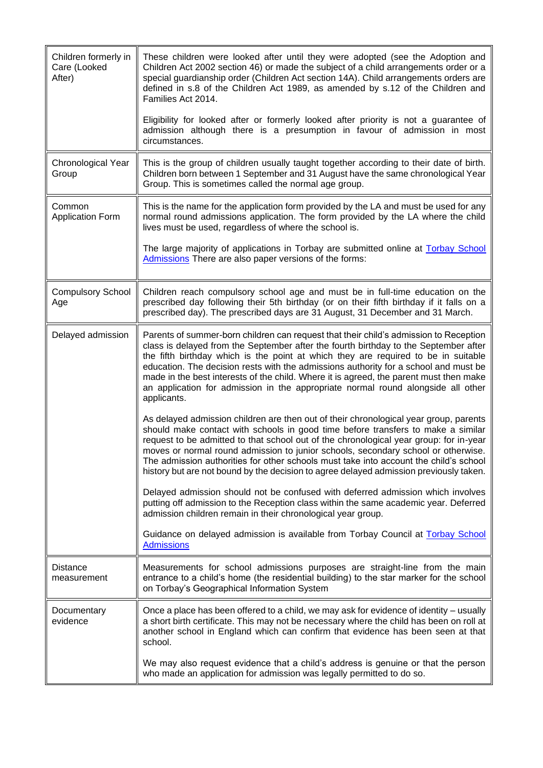| Children formerly in<br>Care (Looked<br>After) | These children were looked after until they were adopted (see the Adoption and<br>Children Act 2002 section 46) or made the subject of a child arrangements order or a<br>special guardianship order (Children Act section 14A). Child arrangements orders are<br>defined in s.8 of the Children Act 1989, as amended by s.12 of the Children and<br>Families Act 2014.                                                                                                                                                                                  |
|------------------------------------------------|----------------------------------------------------------------------------------------------------------------------------------------------------------------------------------------------------------------------------------------------------------------------------------------------------------------------------------------------------------------------------------------------------------------------------------------------------------------------------------------------------------------------------------------------------------|
|                                                | Eligibility for looked after or formerly looked after priority is not a guarantee of<br>admission although there is a presumption in favour of admission in most<br>circumstances.                                                                                                                                                                                                                                                                                                                                                                       |
| Chronological Year<br>Group                    | This is the group of children usually taught together according to their date of birth.<br>Children born between 1 September and 31 August have the same chronological Year<br>Group. This is sometimes called the normal age group.                                                                                                                                                                                                                                                                                                                     |
| Common<br><b>Application Form</b>              | This is the name for the application form provided by the LA and must be used for any<br>normal round admissions application. The form provided by the LA where the child<br>lives must be used, regardless of where the school is.                                                                                                                                                                                                                                                                                                                      |
|                                                | The large majority of applications in Torbay are submitted online at Torbay School<br>Admissions There are also paper versions of the forms:                                                                                                                                                                                                                                                                                                                                                                                                             |
| <b>Compulsory School</b><br>Age                | Children reach compulsory school age and must be in full-time education on the<br>prescribed day following their 5th birthday (or on their fifth birthday if it falls on a<br>prescribed day). The prescribed days are 31 August, 31 December and 31 March.                                                                                                                                                                                                                                                                                              |
| Delayed admission                              | Parents of summer-born children can request that their child's admission to Reception<br>class is delayed from the September after the fourth birthday to the September after<br>the fifth birthday which is the point at which they are required to be in suitable<br>education. The decision rests with the admissions authority for a school and must be<br>made in the best interests of the child. Where it is agreed, the parent must then make<br>an application for admission in the appropriate normal round alongside all other<br>applicants. |
|                                                | As delayed admission children are then out of their chronological year group, parents<br>should make contact with schools in good time before transfers to make a similar<br>request to be admitted to that school out of the chronological year group: for in-year<br>moves or normal round admission to junior schools, secondary school or otherwise.<br>The admission authorities for other schools must take into account the child's school<br>history but are not bound by the decision to agree delayed admission previously taken.              |
|                                                | Delayed admission should not be confused with deferred admission which involves<br>putting off admission to the Reception class within the same academic year. Deferred<br>admission children remain in their chronological year group.                                                                                                                                                                                                                                                                                                                  |
|                                                | Guidance on delayed admission is available from Torbay Council at Torbay School<br><b>Admissions</b>                                                                                                                                                                                                                                                                                                                                                                                                                                                     |
| <b>Distance</b><br>measurement                 | Measurements for school admissions purposes are straight-line from the main<br>entrance to a child's home (the residential building) to the star marker for the school<br>on Torbay's Geographical Information System                                                                                                                                                                                                                                                                                                                                    |
| Documentary<br>evidence                        | Once a place has been offered to a child, we may ask for evidence of identity – usually<br>a short birth certificate. This may not be necessary where the child has been on roll at<br>another school in England which can confirm that evidence has been seen at that<br>school.                                                                                                                                                                                                                                                                        |
|                                                | We may also request evidence that a child's address is genuine or that the person<br>who made an application for admission was legally permitted to do so.                                                                                                                                                                                                                                                                                                                                                                                               |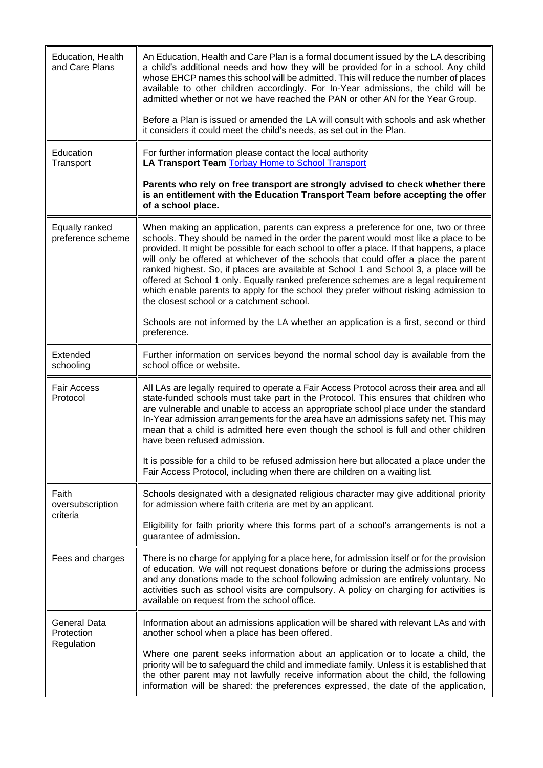| Education, Health<br>and Care Plans             | An Education, Health and Care Plan is a formal document issued by the LA describing<br>a child's additional needs and how they will be provided for in a school. Any child<br>whose EHCP names this school will be admitted. This will reduce the number of places<br>available to other children accordingly. For In-Year admissions, the child will be<br>admitted whether or not we have reached the PAN or other AN for the Year Group.<br>Before a Plan is issued or amended the LA will consult with schools and ask whether                                                                                                                                                   |
|-------------------------------------------------|--------------------------------------------------------------------------------------------------------------------------------------------------------------------------------------------------------------------------------------------------------------------------------------------------------------------------------------------------------------------------------------------------------------------------------------------------------------------------------------------------------------------------------------------------------------------------------------------------------------------------------------------------------------------------------------|
|                                                 | it considers it could meet the child's needs, as set out in the Plan.                                                                                                                                                                                                                                                                                                                                                                                                                                                                                                                                                                                                                |
| Education<br>Transport                          | For further information please contact the local authority<br>LA Transport Team Torbay Home to School Transport                                                                                                                                                                                                                                                                                                                                                                                                                                                                                                                                                                      |
|                                                 | Parents who rely on free transport are strongly advised to check whether there<br>is an entitlement with the Education Transport Team before accepting the offer<br>of a school place.                                                                                                                                                                                                                                                                                                                                                                                                                                                                                               |
| Equally ranked<br>preference scheme             | When making an application, parents can express a preference for one, two or three<br>schools. They should be named in the order the parent would most like a place to be<br>provided. It might be possible for each school to offer a place. If that happens, a place<br>will only be offered at whichever of the schools that could offer a place the parent<br>ranked highest. So, if places are available at School 1 and School 3, a place will be<br>offered at School 1 only. Equally ranked preference schemes are a legal requirement<br>which enable parents to apply for the school they prefer without risking admission to<br>the closest school or a catchment school. |
|                                                 | Schools are not informed by the LA whether an application is a first, second or third<br>preference.                                                                                                                                                                                                                                                                                                                                                                                                                                                                                                                                                                                 |
| Extended<br>schooling                           | Further information on services beyond the normal school day is available from the<br>school office or website.                                                                                                                                                                                                                                                                                                                                                                                                                                                                                                                                                                      |
| <b>Fair Access</b><br>Protocol                  | All LAs are legally required to operate a Fair Access Protocol across their area and all<br>state-funded schools must take part in the Protocol. This ensures that children who<br>are vulnerable and unable to access an appropriate school place under the standard<br>In-Year admission arrangements for the area have an admissions safety net. This may<br>mean that a child is admitted here even though the school is full and other children<br>have been refused admission.                                                                                                                                                                                                 |
|                                                 | It is possible for a child to be refused admission here but allocated a place under the<br>Fair Access Protocol, including when there are children on a waiting list.                                                                                                                                                                                                                                                                                                                                                                                                                                                                                                                |
| Faith<br>oversubscription<br>criteria           | Schools designated with a designated religious character may give additional priority<br>for admission where faith criteria are met by an applicant.                                                                                                                                                                                                                                                                                                                                                                                                                                                                                                                                 |
|                                                 | Eligibility for faith priority where this forms part of a school's arrangements is not a<br>guarantee of admission.                                                                                                                                                                                                                                                                                                                                                                                                                                                                                                                                                                  |
| Fees and charges                                | There is no charge for applying for a place here, for admission itself or for the provision<br>of education. We will not request donations before or during the admissions process<br>and any donations made to the school following admission are entirely voluntary. No<br>activities such as school visits are compulsory. A policy on charging for activities is<br>available on request from the school office.                                                                                                                                                                                                                                                                 |
| <b>General Data</b><br>Protection<br>Regulation | Information about an admissions application will be shared with relevant LAs and with<br>another school when a place has been offered.                                                                                                                                                                                                                                                                                                                                                                                                                                                                                                                                               |
|                                                 | Where one parent seeks information about an application or to locate a child, the<br>priority will be to safeguard the child and immediate family. Unless it is established that<br>the other parent may not lawfully receive information about the child, the following<br>information will be shared: the preferences expressed, the date of the application,                                                                                                                                                                                                                                                                                                                      |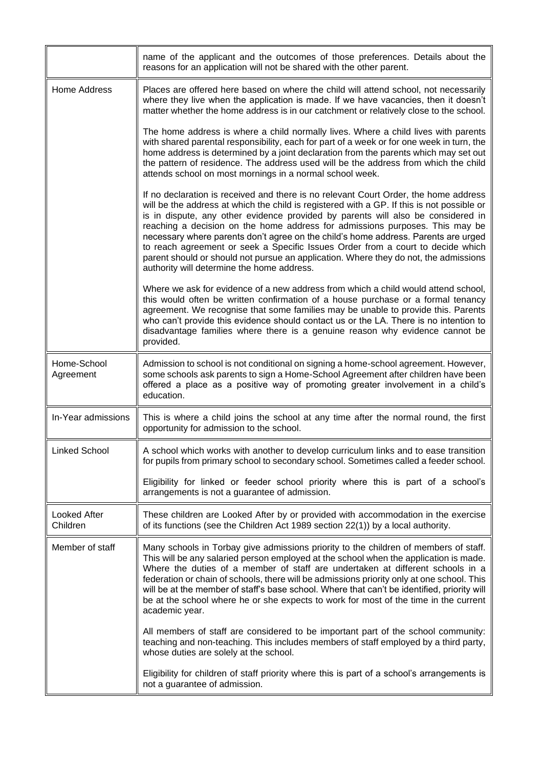|                                 | name of the applicant and the outcomes of those preferences. Details about the<br>reasons for an application will not be shared with the other parent.                                                                                                                                                                                                                                                                                                                                                                                                                                                                                                                |
|---------------------------------|-----------------------------------------------------------------------------------------------------------------------------------------------------------------------------------------------------------------------------------------------------------------------------------------------------------------------------------------------------------------------------------------------------------------------------------------------------------------------------------------------------------------------------------------------------------------------------------------------------------------------------------------------------------------------|
| <b>Home Address</b>             | Places are offered here based on where the child will attend school, not necessarily<br>where they live when the application is made. If we have vacancies, then it doesn't<br>matter whether the home address is in our catchment or relatively close to the school.                                                                                                                                                                                                                                                                                                                                                                                                 |
|                                 | The home address is where a child normally lives. Where a child lives with parents<br>with shared parental responsibility, each for part of a week or for one week in turn, the<br>home address is determined by a joint declaration from the parents which may set out<br>the pattern of residence. The address used will be the address from which the child<br>attends school on most mornings in a normal school week.                                                                                                                                                                                                                                            |
|                                 | If no declaration is received and there is no relevant Court Order, the home address<br>will be the address at which the child is registered with a GP. If this is not possible or<br>is in dispute, any other evidence provided by parents will also be considered in<br>reaching a decision on the home address for admissions purposes. This may be<br>necessary where parents don't agree on the child's home address. Parents are urged<br>to reach agreement or seek a Specific Issues Order from a court to decide which<br>parent should or should not pursue an application. Where they do not, the admissions<br>authority will determine the home address. |
|                                 | Where we ask for evidence of a new address from which a child would attend school,<br>this would often be written confirmation of a house purchase or a formal tenancy<br>agreement. We recognise that some families may be unable to provide this. Parents<br>who can't provide this evidence should contact us or the LA. There is no intention to<br>disadvantage families where there is a genuine reason why evidence cannot be<br>provided.                                                                                                                                                                                                                     |
| Home-School<br>Agreement        | Admission to school is not conditional on signing a home-school agreement. However,<br>some schools ask parents to sign a Home-School Agreement after children have been<br>offered a place as a positive way of promoting greater involvement in a child's<br>education.                                                                                                                                                                                                                                                                                                                                                                                             |
| In-Year admissions              | This is where a child joins the school at any time after the normal round, the first<br>opportunity for admission to the school.                                                                                                                                                                                                                                                                                                                                                                                                                                                                                                                                      |
| Linked School                   | A school which works with another to develop curriculum links and to ease transition<br>for pupils from primary school to secondary school. Sometimes called a feeder school.                                                                                                                                                                                                                                                                                                                                                                                                                                                                                         |
|                                 | Eligibility for linked or feeder school priority where this is part of a school's<br>arrangements is not a guarantee of admission.                                                                                                                                                                                                                                                                                                                                                                                                                                                                                                                                    |
| <b>Looked After</b><br>Children | These children are Looked After by or provided with accommodation in the exercise<br>of its functions (see the Children Act 1989 section 22(1)) by a local authority.                                                                                                                                                                                                                                                                                                                                                                                                                                                                                                 |
| Member of staff                 | Many schools in Torbay give admissions priority to the children of members of staff.<br>This will be any salaried person employed at the school when the application is made.<br>Where the duties of a member of staff are undertaken at different schools in a<br>federation or chain of schools, there will be admissions priority only at one school. This<br>will be at the member of staff's base school. Where that can't be identified, priority will<br>be at the school where he or she expects to work for most of the time in the current<br>academic year.                                                                                                |
|                                 | All members of staff are considered to be important part of the school community:<br>teaching and non-teaching. This includes members of staff employed by a third party,<br>whose duties are solely at the school.                                                                                                                                                                                                                                                                                                                                                                                                                                                   |
|                                 | Eligibility for children of staff priority where this is part of a school's arrangements is<br>not a guarantee of admission.                                                                                                                                                                                                                                                                                                                                                                                                                                                                                                                                          |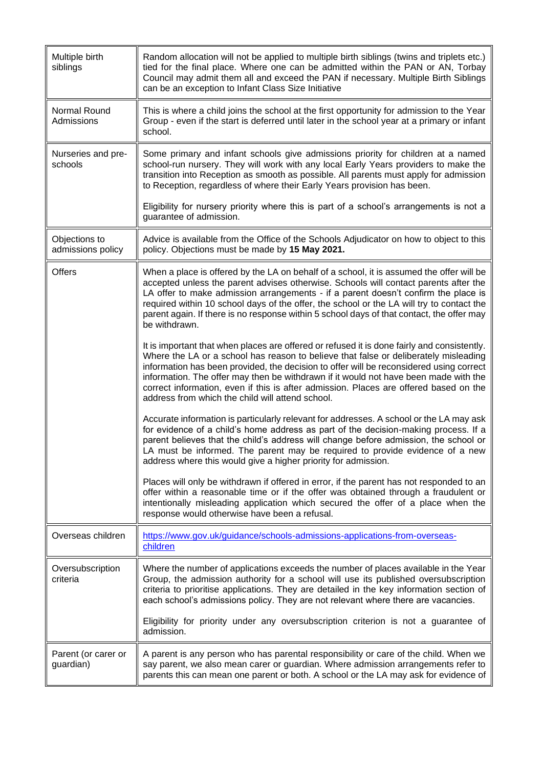| Multiple birth<br>siblings         | Random allocation will not be applied to multiple birth siblings (twins and triplets etc.)<br>tied for the final place. Where one can be admitted within the PAN or AN, Torbay<br>Council may admit them all and exceed the PAN if necessary. Multiple Birth Siblings<br>can be an exception to Infant Class Size Initiative                                                                                                                                                                                        |
|------------------------------------|---------------------------------------------------------------------------------------------------------------------------------------------------------------------------------------------------------------------------------------------------------------------------------------------------------------------------------------------------------------------------------------------------------------------------------------------------------------------------------------------------------------------|
| Normal Round<br>Admissions         | This is where a child joins the school at the first opportunity for admission to the Year<br>Group - even if the start is deferred until later in the school year at a primary or infant<br>school.                                                                                                                                                                                                                                                                                                                 |
| Nurseries and pre-<br>schools      | Some primary and infant schools give admissions priority for children at a named<br>school-run nursery. They will work with any local Early Years providers to make the<br>transition into Reception as smooth as possible. All parents must apply for admission<br>to Reception, regardless of where their Early Years provision has been.                                                                                                                                                                         |
|                                    | Eligibility for nursery priority where this is part of a school's arrangements is not a<br>guarantee of admission.                                                                                                                                                                                                                                                                                                                                                                                                  |
| Objections to<br>admissions policy | Advice is available from the Office of the Schools Adjudicator on how to object to this<br>policy. Objections must be made by 15 May 2021.                                                                                                                                                                                                                                                                                                                                                                          |
| <b>Offers</b>                      | When a place is offered by the LA on behalf of a school, it is assumed the offer will be<br>accepted unless the parent advises otherwise. Schools will contact parents after the<br>LA offer to make admission arrangements - if a parent doesn't confirm the place is<br>required within 10 school days of the offer, the school or the LA will try to contact the<br>parent again. If there is no response within 5 school days of that contact, the offer may<br>be withdrawn.                                   |
|                                    | It is important that when places are offered or refused it is done fairly and consistently.<br>Where the LA or a school has reason to believe that false or deliberately misleading<br>information has been provided, the decision to offer will be reconsidered using correct<br>information. The offer may then be withdrawn if it would not have been made with the<br>correct information, even if this is after admission. Places are offered based on the<br>address from which the child will attend school. |
|                                    | Accurate information is particularly relevant for addresses. A school or the LA may ask<br>for evidence of a child's home address as part of the decision-making process. If a<br>parent believes that the child's address will change before admission, the school or<br>LA must be informed. The parent may be required to provide evidence of a new<br>address where this would give a higher priority for admission.                                                                                            |
|                                    | Places will only be withdrawn if offered in error, if the parent has not responded to an<br>offer within a reasonable time or if the offer was obtained through a fraudulent or<br>intentionally misleading application which secured the offer of a place when the<br>response would otherwise have been a refusal.                                                                                                                                                                                                |
| Overseas children                  | https://www.gov.uk/guidance/schools-admissions-applications-from-overseas-<br>children                                                                                                                                                                                                                                                                                                                                                                                                                              |
| Oversubscription<br>criteria       | Where the number of applications exceeds the number of places available in the Year<br>Group, the admission authority for a school will use its published oversubscription<br>criteria to prioritise applications. They are detailed in the key information section of<br>each school's admissions policy. They are not relevant where there are vacancies.                                                                                                                                                         |
|                                    | Eligibility for priority under any oversubscription criterion is not a guarantee of<br>admission.                                                                                                                                                                                                                                                                                                                                                                                                                   |
| Parent (or carer or<br>guardian)   | A parent is any person who has parental responsibility or care of the child. When we<br>say parent, we also mean carer or guardian. Where admission arrangements refer to<br>parents this can mean one parent or both. A school or the LA may ask for evidence of                                                                                                                                                                                                                                                   |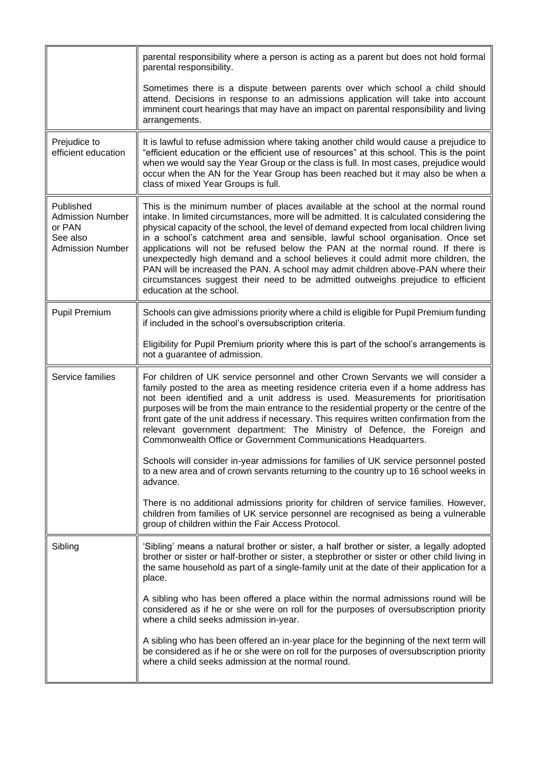|                                                                                       | parental responsibility where a person is acting as a parent but does not hold formal<br>parental responsibility.                                                                                                                                                                                                                                                                                                                                                                                                                                                                                                                                                                                                                       |
|---------------------------------------------------------------------------------------|-----------------------------------------------------------------------------------------------------------------------------------------------------------------------------------------------------------------------------------------------------------------------------------------------------------------------------------------------------------------------------------------------------------------------------------------------------------------------------------------------------------------------------------------------------------------------------------------------------------------------------------------------------------------------------------------------------------------------------------------|
|                                                                                       | Sometimes there is a dispute between parents over which school a child should<br>attend. Decisions in response to an admissions application will take into account<br>imminent court hearings that may have an impact on parental responsibility and living<br>arrangements.                                                                                                                                                                                                                                                                                                                                                                                                                                                            |
| Prejudice to<br>efficient education                                                   | It is lawful to refuse admission where taking another child would cause a prejudice to<br>"efficient education or the efficient use of resources" at this school. This is the point<br>when we would say the Year Group or the class is full. In most cases, prejudice would<br>occur when the AN for the Year Group has been reached but it may also be when a<br>class of mixed Year Groups is full.                                                                                                                                                                                                                                                                                                                                  |
| Published<br><b>Admission Number</b><br>or PAN<br>See also<br><b>Admission Number</b> | This is the minimum number of places available at the school at the normal round<br>intake. In limited circumstances, more will be admitted. It is calculated considering the<br>physical capacity of the school, the level of demand expected from local children living<br>in a school's catchment area and sensible, lawful school organisation. Once set<br>applications will not be refused below the PAN at the normal round. If there is<br>unexpectedly high demand and a school believes it could admit more children, the<br>PAN will be increased the PAN. A school may admit children above-PAN where their<br>circumstances suggest their need to be admitted outweighs prejudice to efficient<br>education at the school. |
| <b>Pupil Premium</b>                                                                  | Schools can give admissions priority where a child is eligible for Pupil Premium funding<br>if included in the school's oversubscription criteria.                                                                                                                                                                                                                                                                                                                                                                                                                                                                                                                                                                                      |
|                                                                                       | Eligibility for Pupil Premium priority where this is part of the school's arrangements is<br>not a guarantee of admission.                                                                                                                                                                                                                                                                                                                                                                                                                                                                                                                                                                                                              |
| Service families                                                                      | For children of UK service personnel and other Crown Servants we will consider a<br>family posted to the area as meeting residence criteria even if a home address has<br>not been identified and a unit address is used. Measurements for prioritisation<br>purposes will be from the main entrance to the residential property or the centre of the<br>front gate of the unit address if necessary. This requires written confirmation from the<br>relevant government department: The Ministry of Defence, the Foreign and<br>Commonwealth Office or Government Communications Headquarters.                                                                                                                                         |
|                                                                                       | Schools will consider in-year admissions for families of UK service personnel posted<br>to a new area and of crown servants returning to the country up to 16 school weeks in<br>advance.                                                                                                                                                                                                                                                                                                                                                                                                                                                                                                                                               |
|                                                                                       | There is no additional admissions priority for children of service families. However,<br>children from families of UK service personnel are recognised as being a vulnerable<br>group of children within the Fair Access Protocol.                                                                                                                                                                                                                                                                                                                                                                                                                                                                                                      |
| Sibling                                                                               | 'Sibling' means a natural brother or sister, a half brother or sister, a legally adopted<br>brother or sister or half-brother or sister, a stepbrother or sister or other child living in<br>the same household as part of a single-family unit at the date of their application for a<br>place.                                                                                                                                                                                                                                                                                                                                                                                                                                        |
|                                                                                       | A sibling who has been offered a place within the normal admissions round will be<br>considered as if he or she were on roll for the purposes of oversubscription priority<br>where a child seeks admission in-year.                                                                                                                                                                                                                                                                                                                                                                                                                                                                                                                    |
|                                                                                       | A sibling who has been offered an in-year place for the beginning of the next term will<br>be considered as if he or she were on roll for the purposes of oversubscription priority<br>where a child seeks admission at the normal round.                                                                                                                                                                                                                                                                                                                                                                                                                                                                                               |